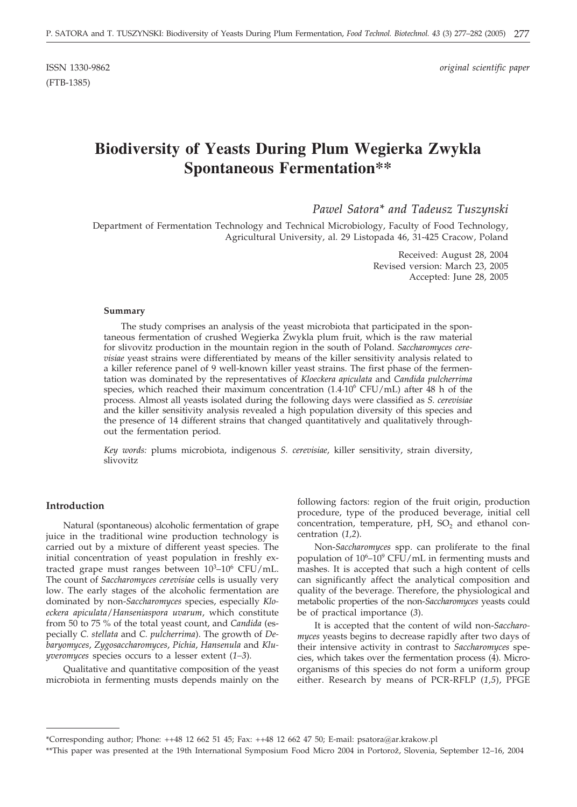(FTB-1385)

ISSN 1330-9862 *original scientific paper*

# **Biodiversity of Yeasts During Plum Wegierka Zwykla Spontaneous Fermentation\*\***

## *Pawel Satora\* and Tadeusz Tuszynski*

Department of Fermentation Technology and Technical Microbiology, Faculty of Food Technology, Agricultural University, al. 29 Listopada 46, 31-425 Cracow, Poland

> Received: August 28, 2004 Revised version: March 23, 2005 Accepted: June 28, 2005

#### **Summary**

The study comprises an analysis of the yeast microbiota that participated in the spontaneous fermentation of crushed Wegierka Zwykla plum fruit, which is the raw material for slivovitz production in the mountain region in the south of Poland. *Saccharomyces cerevisiae* yeast strains were differentiated by means of the killer sensitivity analysis related to a killer reference panel of 9 well-known killer yeast strains. The first phase of the fermentation was dominated by the representatives of *Kloeckera apiculata* and *Candida pulcherrima* species, which reached their maximum concentration  $(1.4\cdot10^6 \text{ CFU/mL})$  after 48 h of the process. Almost all yeasts isolated during the following days were classified as *S. cerevisiae* and the killer sensitivity analysis revealed a high population diversity of this species and the presence of 14 different strains that changed quantitatively and qualitatively throughout the fermentation period.

*Key words:* plums microbiota, indigenous *S. cerevisiae*, killer sensitivity, strain diversity, slivovitz

#### **Introduction**

Natural (spontaneous) alcoholic fermentation of grape juice in the traditional wine production technology is carried out by a mixture of different yeast species. The initial concentration of yeast population in freshly extracted grape must ranges between  $10^3-10^6$  CFU/mL. The count of *Saccharomyces cerevisiae* cells is usually very low. The early stages of the alcoholic fermentation are dominated by non-*Saccharomyces* species, especially *Kloeckera apiculata*/*Hanseniaspora uvarum*, which constitute from 50 to 75 % of the total yeast count, and *Candida* (especially *C. stellata* and *C. pulcherrima*). The growth of *Debaryomyces*, *Zygosaccharomyces*, *Pichia*, *Hansenula* and *Kluyveromyces* species occurs to a lesser extent (*1–3*).

Qualitative and quantitative composition of the yeast microbiota in fermenting musts depends mainly on the

following factors: region of the fruit origin, production procedure, type of the produced beverage, initial cell concentration, temperature,  $pH$ ,  $SO<sub>2</sub>$  and ethanol concentration (*1,2*).

Non-*Saccharomyces* spp. can proliferate to the final population of  $10^6$ - $10^9$  CFU/mL in fermenting musts and mashes. It is accepted that such a high content of cells can significantly affect the analytical composition and quality of the beverage. Therefore, the physiological and metabolic properties of the non-*Saccharomyces* yeasts could be of practical importance (*3*).

It is accepted that the content of wild non-*Saccharomyces* yeasts begins to decrease rapidly after two days of their intensive activity in contrast to *Saccharomyces* species, which takes over the fermentation process (4). Microorganisms of this species do not form a uniform group either. Research by means of PCR-RFLP (*1,5*), PFGE

<sup>\*</sup>Corresponding author; Phone: ++48 12 662 51 45; Fax: ++48 12 662 47 50; E-mail: psatora@ar.krakow.pl

<sup>\*\*</sup>This paper was presented at the 19th International Symposium Food Micro 2004 in Portorož, Slovenia, September 12-16, 2004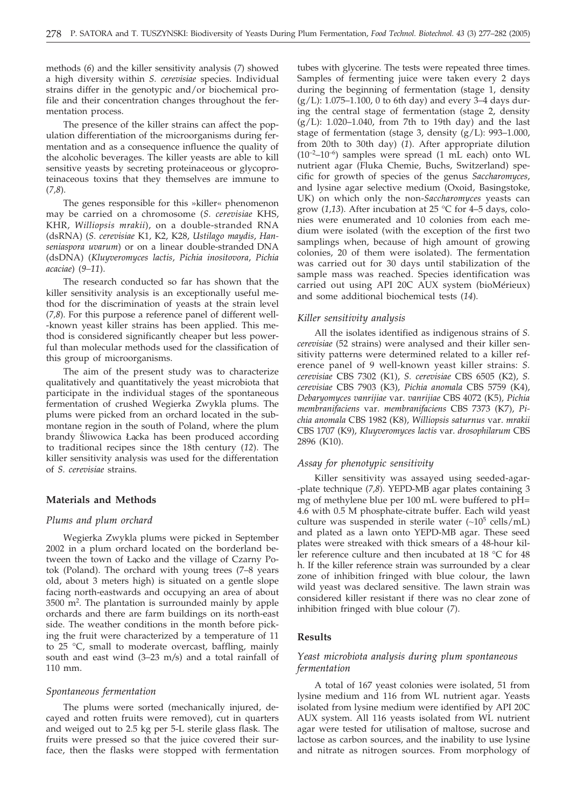methods (*6*) and the killer sensitivity analysis (*7*) showed a high diversity within *S. cerevisiae* species. Individual strains differ in the genotypic and/or biochemical profile and their concentration changes throughout the fermentation process.

The presence of the killer strains can affect the population differentiation of the microorganisms during fermentation and as a consequence influence the quality of the alcoholic beverages. The killer yeasts are able to kill sensitive yeasts by secreting proteinaceous or glycoproteinaceous toxins that they themselves are immune to (*7,8*).

The genes responsible for this »killer« phenomenon may be carried on a chromosome (*S. cerevisiae* KHS, KHR, *Williopsis mrakii*), on a double-stranded RNA (dsRNA) (*S. cerevisiae* K1, K2, K28, *Ustilago maydis*, *Hanseniaspora uvarum*) or on a linear double-stranded DNA (dsDNA) (*Kluyveromyces lactis*, *Pichia inositovora*, *Pichia acaciae*) (*9–11*).

The research conducted so far has shown that the killer sensitivity analysis is an exceptionally useful method for the discrimination of yeasts at the strain level (*7,8*). For this purpose a reference panel of different well- -known yeast killer strains has been applied. This method is considered significantly cheaper but less powerful than molecular methods used for the classification of this group of microorganisms.

The aim of the present study was to characterize qualitatively and quantitatively the yeast microbiota that participate in the individual stages of the spontaneous fermentation of crushed Wegierka Zwykla plums. The plums were picked from an orchard located in the submontane region in the south of Poland, where the plum brandy Sliwowica Łącka has been produced according to traditional recipes since the 18th century (*12*). The killer sensitivity analysis was used for the differentation of *S. cerevisiae* strains.

#### **Materials and Methods**

#### *Plums and plum orchard*

Wegierka Zwykla plums were picked in September 2002 in a plum orchard located on the borderland between the town of Łącko and the village of Czarny Potok (Poland). The orchard with young trees (7–8 years old, about 3 meters high) is situated on a gentle slope facing north-eastwards and occupying an area of about 3500 m2. The plantation is surrounded mainly by apple orchards and there are farm buildings on its north-east side. The weather conditions in the month before picking the fruit were characterized by a temperature of 11 to 25 °C, small to moderate overcast, baffling, mainly south and east wind (3–23 m*/*s) and a total rainfall of 110 mm.

#### *Spontaneous fermentation*

The plums were sorted (mechanically injured, decayed and rotten fruits were removed), cut in quarters and weiged out to 2.5 kg per 5-L sterile glass flask. The fruits were pressed so that the juice covered their surface, then the flasks were stopped with fermentation

tubes with glycerine. The tests were repeated three times. Samples of fermenting juice were taken every 2 days during the beginning of fermentation (stage 1, density  $(g/L): 1.075-1.100$ , 0 to 6th day) and every 3-4 days during the central stage of fermentation (stage 2, density  $(g/L)$ : 1.020-1.040, from 7th to 19th day) and the last stage of fermentation (stage 3, density (g/L): 993–1.000, from 20th to 30th day) (*1*). After appropriate dilution  $(10^{-2}-10^{-6})$  samples were spread  $(1 \text{ mL each})$  onto WL nutrient agar (Fluka Chemie, Buchs, Switzerland) specific for growth of species of the genus *Saccharomyces*, and lysine agar selective medium (Oxoid, Basingstoke, UK) on which only the non-*Saccharomyces* yeasts can grow (*1,13*). After incubation at 25 °C for 4–5 days, colonies were enumerated and 10 colonies from each medium were isolated (with the exception of the first two samplings when, because of high amount of growing colonies, 20 of them were isolated). The fermentation was carried out for 30 days until stabilization of the sample mass was reached. Species identification was carried out using API 20C AUX system (bioMérieux) and some additional biochemical tests (*14*).

#### *Killer sensitivity analysis*

All the isolates identified as indigenous strains of *S. cerevisiae* (52 strains) were analysed and their killer sensitivity patterns were determined related to a killer reference panel of 9 well-known yeast killer strains: *S. cerevisiae* CBS 7302 (K1), *S. cerevisiae* CBS 6505 (K2), *S. cerevisiae* CBS 7903 (K3), *Pichia anomala* CBS 5759 (K4), *Debaryomyces vanrijiae* var. *vanrijiae* CBS 4072 (K5), *Pichia membranifaciens* var. *membranifaciens* CBS 7373 (K7), *Pichia anomala* CBS 1982 (K8), *Williopsis saturnus* var. *mrakii* CBS 1707 (K9), *Kluyveromyces lactis* var. *drosophilarum* CBS 2896 (K10).

#### *Assay for phenotypic sensitivity*

Killer sensitivity was assayed using seeded-agar- -plate technique (*7,8*). YEPD-MB agar plates containing 3 mg of methylene blue per 100 mL were buffered to pH= 4.6 with 0.5 M phosphate-citrate buffer. Each wild yeast culture was suspended in sterile water  $(\sim 10^5 \text{ cells/mL})$ and plated as a lawn onto YEPD-MB agar. These seed plates were streaked with thick smears of a 48-hour killer reference culture and then incubated at 18 °C for 48 h. If the killer reference strain was surrounded by a clear zone of inhibition fringed with blue colour, the lawn wild yeast was declared sensitive. The lawn strain was considered killer resistant if there was no clear zone of inhibition fringed with blue colour (*7*).

#### **Results**

## *Yeast microbiota analysis during plum spontaneous fermentation*

A total of 167 yeast colonies were isolated, 51 from lysine medium and 116 from WL nutrient agar. Yeasts isolated from lysine medium were identified by API 20C AUX system. All 116 yeasts isolated from WL nutrient agar were tested for utilisation of maltose, sucrose and lactose as carbon sources, and the inability to use lysine and nitrate as nitrogen sources. From morphology of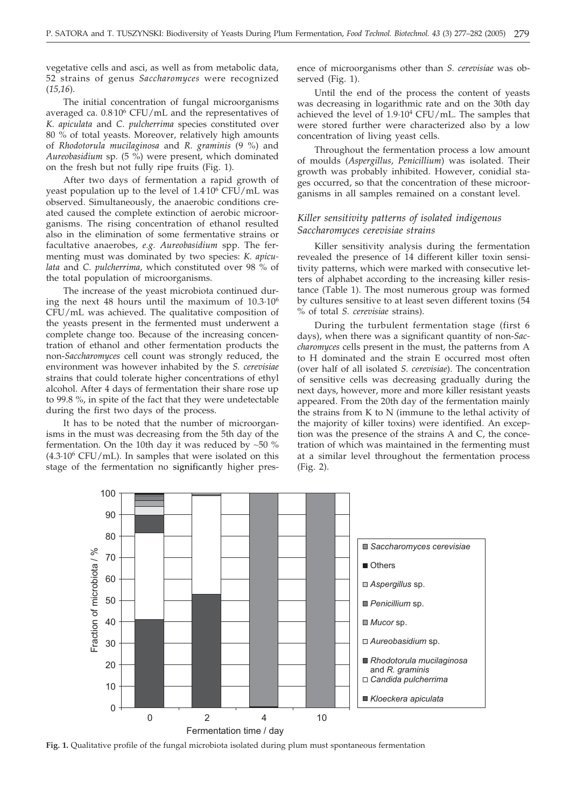vegetative cells and asci, as well as from metabolic data, 52 strains of genus *Saccharomyces* were recognized (*15,16*).

The initial concentration of fungal microorganisms averaged ca. 0.8. 106 CFU/mL and the representatives of *K. apiculata* and *C. pulcherrima* species constituted over 80 % of total yeasts. Moreover, relatively high amounts of *Rhodotorula mucilaginosa* and *R. graminis* (9 %) and *Aureobasidium* sp*.* (5 %) were present, which dominated on the fresh but not fully ripe fruits (Fig. 1).

After two days of fermentation a rapid growth of yeast population up to the level of 1.4. 106 CFU/mL was observed. Simultaneously, the anaerobic conditions created caused the complete extinction of aerobic microorganisms. The rising concentration of ethanol resulted also in the elimination of some fermentative strains or facultative anaerobes, *e.g. Aureobasidium* spp. The fermenting must was dominated by two species: *K. apiculata* and *C. pulcherrima*, which constituted over 98 % of the total population of microorganisms.

The increase of the yeast microbiota continued during the next 48 hours until the maximum of 10.3·106 CFU/mL was achieved. The qualitative composition of the yeasts present in the fermented must underwent a complete change too. Because of the increasing concentration of ethanol and other fermentation products the non-*Saccharomyces* cell count was strongly reduced, the environment was however inhabited by the *S. cerevisiae* strains that could tolerate higher concentrations of ethyl alcohol. After 4 days of fermentation their share rose up to 99.8 %, in spite of the fact that they were undetectable during the first two days of the process.

It has to be noted that the number of microorganisms in the must was decreasing from the 5th day of the fermentation. On the 10th day it was reduced by  $~50$  %  $(4.3.10<sup>6</sup> CFU/mL)$ . In samples that were isolated on this stage of the fermentation no significantly higher presence of microorganisms other than *S. cerevisiae* was observed (Fig. 1).

Until the end of the process the content of yeasts was decreasing in logarithmic rate and on the 30th day achieved the level of 1.9·104 CFU/mL. The samples that were stored further were characterized also by a low concentration of living yeast cells.

Throughout the fermentation process a low amount of moulds (*Aspergillus*, *Penicillium*) was isolated. Their growth was probably inhibited. However, conidial stages occurred, so that the concentration of these microorganisms in all samples remained on a constant level.

## *Killer sensitivity patterns of isolated indigenous Saccharomyces cerevisiae strains*

Killer sensitivity analysis during the fermentation revealed the presence of 14 different killer toxin sensitivity patterns, which were marked with consecutive letters of alphabet according to the increasing killer resistance (Table 1). The most numerous group was formed by cultures sensitive to at least seven different toxins (54 % of total *S. cerevisiae* strains).

During the turbulent fermentation stage (first 6 days), when there was a significant quantity of non-*Saccharomyces* cells present in the must, the patterns from A to H dominated and the strain E occurred most often (over half of all isolated *S. cerevisiae*). The concentration of sensitive cells was decreasing gradually during the next days, however, more and more killer resistant yeasts appeared. From the 20th day of the fermentation mainly the strains from K to N (immune to the lethal activity of the majority of killer toxins) were identified. An exception was the presence of the strains A and C, the concetration of which was maintained in the fermenting must at a similar level throughout the fermentation process (Fig. 2).



**Fig. 1.** Qualitative profile of the fungal microbiota isolated during plum must spontaneous fermentation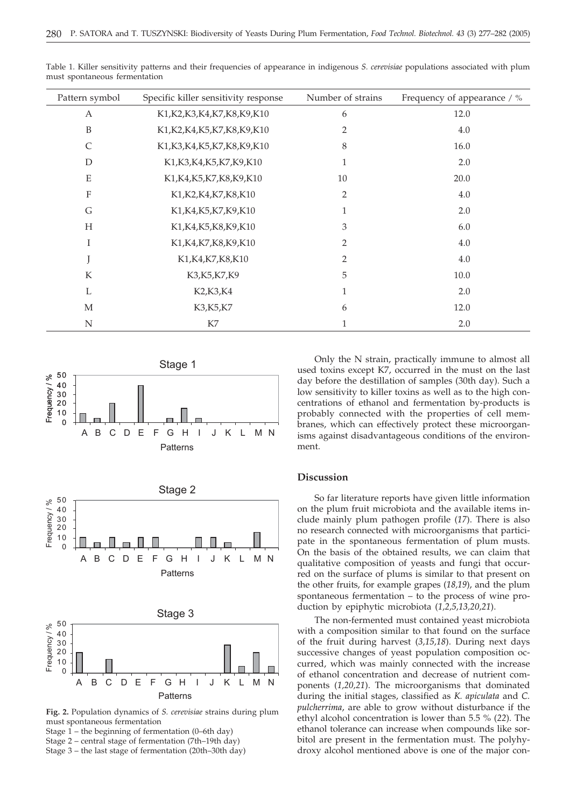| Pattern symbol   | Specific killer sensitivity response | Number of strains | Frequency of appearance / % |
|------------------|--------------------------------------|-------------------|-----------------------------|
| A                | K1, K2, K3, K4, K7, K8, K9, K10      | 6                 | 12.0                        |
| $\boldsymbol{B}$ | K1, K2, K4, K5, K7, K8, K9, K10      | $\overline{2}$    | 4.0                         |
| $\mathsf{C}$     | K1, K3, K4, K5, K7, K8, K9, K10      | 8                 | 16.0                        |
| D                | K1, K3, K4, K5, K7, K9, K10          | 1                 | 2.0                         |
| E                | K1, K4, K5, K7, K8, K9, K10          | 10                | 20.0                        |
| $\mathbf{F}$     | K1, K2, K4, K7, K8, K10              | $\overline{2}$    | 4.0                         |
| G                | K1, K4, K5, K7, K9, K10              | 1                 | 2.0                         |
| H                | K1, K4, K5, K8, K9, K10              | 3                 | $6.0\,$                     |
| I                | K1, K4, K7, K8, K9, K10              | $\overline{2}$    | 4.0                         |
|                  | K1, K4, K7, K8, K10                  | $\overline{2}$    | 4.0                         |
| K                | K3, K5, K7, K9                       | 5                 | 10.0                        |
| L                | K2, K3, K4                           | 1                 | 2.0                         |
| M                | K3, K5, K7                           | 6                 | 12.0                        |
| N                | K7                                   |                   | 2.0                         |

Table 1. Killer sensitivity patterns and their frequencies of appearance in indigenous *S. cerevisiae* populations associated with plum must spontaneous fermentation







**Fig. 2.** Population dynamics of *S. cerevisiae* strains during plum must spontaneous fermentation

Stage  $1$  – the beginning of fermentation (0–6th day)

Stage 2 – central stage of fermentation (7th–19th day)

Stage 3 – the last stage of fermentation (20th–30th day)

Only the N strain, practically immune to almost all used toxins except K7, occurred in the must on the last day before the destillation of samples (30th day). Such a low sensitivity to killer toxins as well as to the high concentrations of ethanol and fermentation by-products is probably connected with the properties of cell membranes, which can effectively protect these microorganisms against disadvantageous conditions of the environment.

#### **Discussion**

So far literature reports have given little information on the plum fruit microbiota and the available items include mainly plum pathogen profile (*17*). There is also no research connected with microorganisms that participate in the spontaneous fermentation of plum musts. On the basis of the obtained results, we can claim that qualitative composition of yeasts and fungi that occurred on the surface of plums is similar to that present on the other fruits, for example grapes (*18,19*), and the plum spontaneous fermentation – to the process of wine production by epiphytic microbiota (*1,2,5,13,20,21*).

The non-fermented must contained yeast microbiota with a composition similar to that found on the surface of the fruit during harvest (*3,15,18*). During next days successive changes of yeast population composition occurred, which was mainly connected with the increase of ethanol concentration and decrease of nutrient components (*1,20,21*). The microorganisms that dominated during the initial stages, classified as *K. apiculata* and *C. pulcherrima*, are able to grow without disturbance if the ethyl alcohol concentration is lower than 5.5 % (*22*). The ethanol tolerance can increase when compounds like sorbitol are present in the fermentation must. The polyhydroxy alcohol mentioned above is one of the major con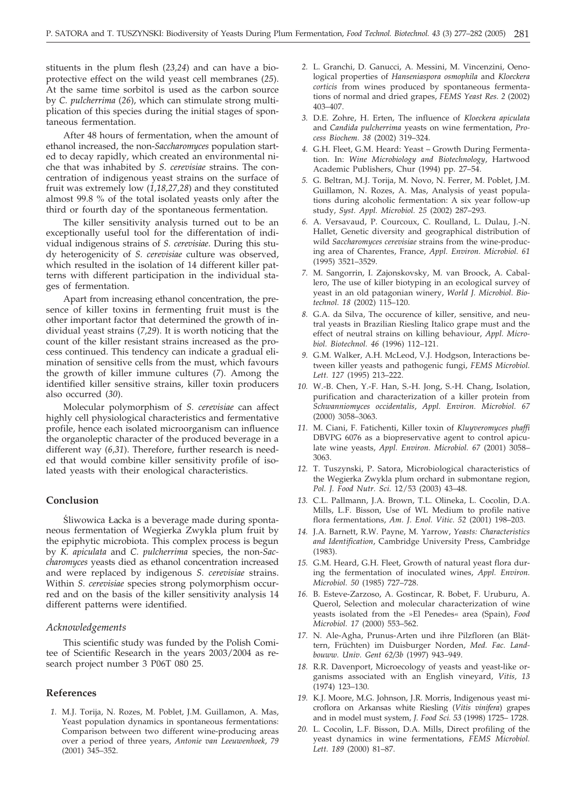stituents in the plum flesh (*23,24*) and can have a bioprotective effect on the wild yeast cell membranes (*25*). At the same time sorbitol is used as the carbon source by *C. pulcherrima* (*26*), which can stimulate strong multiplication of this species during the initial stages of spontaneous fermentation.

After 48 hours of fermentation, when the amount of ethanol increased, the non-*Saccharomyces* population started to decay rapidly, which created an environmental niche that was inhabited by *S. cerevisiae* strains. The concentration of indigenous yeast strains on the surface of fruit was extremely low (*1,18,27,28*) and they constituted almost 99.8 % of the total isolated yeasts only after the third or fourth day of the spontaneous fermentation.

The killer sensitivity analysis turned out to be an exceptionally useful tool for the differentation of individual indigenous strains of *S. cerevisiae*. During this study heterogenicity of *S. cerevisiae* culture was observed, which resulted in the isolation of 14 different killer patterns with different participation in the individual stages of fermentation.

Apart from increasing ethanol concentration, the presence of killer toxins in fermenting fruit must is the other important factor that determined the growth of individual yeast strains (*7,29*). It is worth noticing that the count of the killer resistant strains increased as the process continued. This tendency can indicate a gradual elimination of sensitive cells from the must, which favours the growth of killer immune cultures (*7*). Among the identified killer sensitive strains, killer toxin producers also occurred (*30*).

Molecular polymorphism of *S. cerevisiae* can affect highly cell physiological characteristics and fermentative profile, hence each isolated microorganism can influence the organoleptic character of the produced beverage in a different way (*6,31*). Therefore, further research is needed that would combine killer sensitivity profile of isolated yeasts with their enological characteristics.

#### **Conclusion**

Œliwowica £a O cka is a beverage made during spontaneous fermentation of Wegierka Zwykla plum fruit by the epiphytic microbiota. This complex process is begun by *K. apiculata* and *C. pulcherrima* species, the non-*Saccharomyces* yeasts died as ethanol concentration increased and were replaced by indigenous *S. cerevisiae* strains. Within *S. cerevisiae* species strong polymorphism occurred and on the basis of the killer sensitivity analysis 14 different patterns were identified.

#### *Acknowledgements*

This scientific study was funded by the Polish Comitee of Scientific Research in the years 2003/2004 as research project number 3 P06T 080 25.

#### **References**

*1.* M.J. Torija, N. Rozes, M. Poblet, J.M. Guillamon, A. Mas, Yeast population dynamics in spontaneous fermentations: Comparison between two different wine-producing areas over a period of three years, *Antonie van Leeuwenhoek*, *79* (2001) 345–352.

- *2.* L. Granchi, D. Ganucci, A. Messini, M. Vincenzini, Oenological properties of *Hanseniaspora osmophila* and *Kloeckera corticis* from wines produced by spontaneous fermentations of normal and dried grapes, *FEMS Yeast Res. 2* (2002) 403–407.
- *3.* D.E. Zohre, H. Erten, The influence of *Kloeckera apiculata* and *Candida pulcherrima* yeasts on wine fermentation, *Process Biochem. 38* (2002) 319–324.
- *4.* G.H. Fleet, G.M. Heard: Yeast Growth During Fermentation. In: *Wine Microbiology and Biotechnology*, Hartwood Academic Publishers, Chur (1994) pp. 27–54.
- *5.* G. Beltran, M.J. Torija, M. Novo, N. Ferrer, M. Poblet, J.M. Guillamon, N. Rozes, A. Mas, Analysis of yeast populations during alcoholic fermentation: A six year follow-up study, *Syst. Appl. Microbiol. 25* (2002) 287–293.
- *6.* A. Versavaud, P. Courcoux, C. Roulland, L. Dulau, J.-N. Hallet, Genetic diversity and geographical distribution of wild *Saccharomyces cerevisiae* strains from the wine-producing area of Charentes, France, *Appl. Environ. Microbiol. 61* (1995) 3521–3529.
- *7.* M. Sangorrin, I. Zajonskovsky, M. van Broock, A. Caballero, The use of killer biotyping in an ecological survey of yeast in an old patagonian winery, *World J. Microbiol. Biotechnol. 18* (2002) 115–120.
- *8.* G.A. da Silva, The occurence of killer, sensitive, and neutral yeasts in Brazilian Riesling Italico grape must and the effect of neutral strains on killing behaviour, *Appl. Microbiol. Biotechnol. 46* (1996) 112–121.
- *9.* G.M. Walker, A.H. McLeod, V.J. Hodgson, Interactions between killer yeasts and pathogenic fungi, *FEMS Microbiol. Lett. 127* (1995) 213–222.
- *10.* W.-B. Chen, Y.-F. Han, S.-H. Jong, S.-H. Chang, Isolation, purification and characterization of a killer protein from *Schwanniomyces occidentalis*, *Appl. Environ. Microbiol. 67* (2000) 3058–3063.
- *11.* M. Ciani, F. Fatichenti, Killer toxin of *Kluyveromyces phaffi* DBVPG 6076 as a biopreservative agent to control apiculate wine yeasts, *Appl. Environ. Microbiol. 67* (2001) 3058– 3063.
- *12.* T. Tuszynski, P. Satora, Microbiological characteristics of the Wegierka Zwykla plum orchard in submontane region, *Pol. J. Food Nutr. Sci.* 12/53 (2003) 43–48.
- *13.* C.L. Pallmann, J.A. Brown, T.L. Olineka, L. Cocolin, D.A. Mills, L.F. Bisson, Use of WL Medium to profile native flora fermentations, *Am. J. Enol. Vitic. 52* (2001) 198–203.
- *14.* J.A. Barnett, R.W. Payne, M. Yarrow, *Yeasts: Characteristics and Identification*, Cambridge University Press, Cambridge (1983).
- *15.* G.M. Heard, G.H. Fleet, Growth of natural yeast flora during the fermentation of inoculated wines, *Appl. Environ. Microbiol. 50* (1985) 727–728.
- *16.* B. Esteve-Zarzoso, A. Gostincar, R. Bobet, F. Uruburu, A. Querol, Selection and molecular characterization of wine yeasts isolated from the »El Penedes« area (Spain), *Food Microbiol. 17* (2000) 553–562.
- *17.* N. Ale-Agha, Prunus-Arten und ihre Pilzfloren (an Blättern, Früchten) im Duisburger Norden, *Med. Fac. Landbouww. Univ. Gent 62/3b* (1997) 943–949.
- *18.* R.R. Davenport, Microecology of yeasts and yeast-like organisms associated with an English vineyard, *Vitis, 13* (1974) 123–130.
- *19.* K.J. Moore, M.G. Johnson, J.R. Morris, Indigenous yeast microflora on Arkansas white Riesling (*Vitis vinifera*) grapes and in model must system, *J. Food Sci. 53* (1998) 1725– 1728.
- *20.* L. Cocolin, L.F. Bisson, D.A. Mills, Direct profiling of the yeast dynamics in wine fermentations, *FEMS Microbiol. Lett. 189* (2000) 81–87.